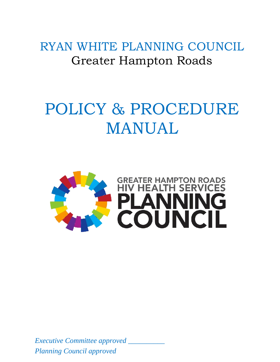RYAN WHITE PLANNING COUNCIL Greater Hampton Roads

# POLICY & PROCEDURE MANUAL



*Executive Committee approved \_\_\_\_\_\_\_\_\_\_ Planning Council approved*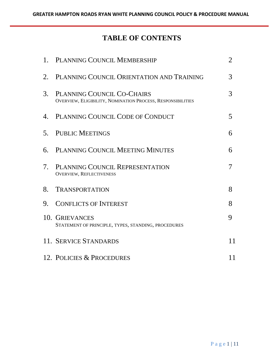## **TABLE OF CONTENTS**

|    | 1. PLANNING COUNCIL MEMBERSHIP                                                            | $\overline{2}$ |
|----|-------------------------------------------------------------------------------------------|----------------|
| 2. | PLANNING COUNCIL ORIENTATION AND TRAINING                                                 | 3              |
| 3. | PLANNING COUNCIL CO-CHAIRS<br>OVERVIEW, ELIGIBILITY, NOMINATION PROCESS, RESPONSIBILITIES | 3              |
| 4. | PLANNING COUNCIL CODE OF CONDUCT                                                          | 5              |
| 5. | <b>PUBLIC MEETINGS</b>                                                                    | 6              |
| 6. | PLANNING COUNCIL MEETING MINUTES                                                          | 6              |
| 7. | PLANNING COUNCIL REPRESENTATION<br><b>OVERVIEW, REFLECTIVENESS</b>                        | 7              |
| 8. | <b>TRANSPORTATION</b>                                                                     | 8              |
| 9. | <b>CONFLICTS OF INTEREST</b>                                                              | 8              |
|    | 10. GRIEVANCES<br>STATEMENT OF PRINCIPLE, TYPES, STANDING, PROCEDURES                     | 9              |
|    | 11. SERVICE STANDARDS                                                                     | 11             |
|    | 12. POLICIES & PROCEDURES                                                                 | 11             |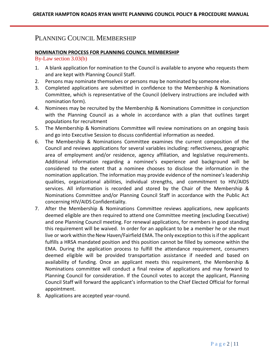## PLANNING COUNCIL MEMBERSHIP

#### **NOMINATION PROCESS FOR PLANNING COUNCIL MEMBERSHIP**

#### By-Law section 3.03(b)

- 1. A blank application for nomination to the Council is available to anyone who requests them and are kept with Planning Council Staff.
- 2. Persons may nominate themselves or persons may be nominated by someone else.
- 3. Completed applications are submitted in confidence to the Membership & Nominations Committee, which is representative of the Council (delivery instructions are included with nomination form).
- 4. Nominees may be recruited by the Membership & Nominations Committee in conjunction with the Planning Council as a whole in accordance with a plan that outlines target populations for recruitment
- 5. The Membership & Nominations Committee will review nominations on an ongoing basis and go into Executive Session to discuss confidential information as needed.
- 6. The Membership & Nominations Committee examines the current composition of the Council and reviews applications for several variables including: reflectiveness, geographic area of employment and/or residence, agency affiliation, and legislative requirements. Additional information regarding a nominee's experience and background will be considered to the extent that a nominee chooses to disclose the information in the nomination application. The information may provide evidence of the nominee's leadership qualities, organizational abilities, individual strengths, and commitment to HIV/AIDS services. All information is recorded and stored by the Chair of the Membership & Nominations Committee and/or Planning Council Staff in accordance with the Public Act concerning HIV/AIDS Confidentiality.
- 7. After the Membership & Nominations Committee reviews applications, new applicants deemed eligible are then required to attend one Committee meeting (excluding Executive) and one Planning Council meeting. For renewal applications, for members in good standing this requirement will be waived. In order for an applicant to be a member he or she must live or work within the New Haven/Fairfield EMA. The only exception to this is if the applicant fulfills a HRSA mandated position and this position cannot be filled by someone within the EMA. During the application process to fulfill the attendance requirement, consumers deemed eligible will be provided transportation assistance if needed and based on availability of funding. Once an applicant meets this requirement, the Membership & Nominations committee will conduct a final review of applications and may forward to Planning Council for consideration. If the Council votes to accept the applicant, Planning Council Staff will forward the applicant's information to the Chief Elected Official for formal appointment.
- 8. Applications are accepted year-round.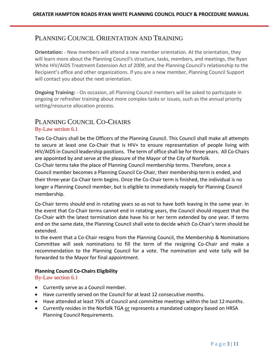## PLANNING COUNCIL ORIENTATION AND TRAINING

**Orientation:** - New members will attend a new member orientation. At the orientation, they will learn more about the Planning Council's structure, tasks, members, and meetings, the Ryan White HIV/AIDS Treatment Extension Act of 2009, and the Planning Council's relationship to the Recipient's office and other organizations. If you are a new member, Planning Council Support will contact you about the next orientation.

**Ongoing Training:** - On occasion, all Planning Council members will be asked to participate in ongoing or refresher training about more complex tasks or issues, such as the annual priority setting/resource allocation process.

## PLANNING COUNCIL CO-CHAIRS

#### By-Law section 6.1

Two Co-Chairs shall be the Officers of the Planning Council. This Council shall make all attempts to secure at least one Co-Chair that is HIV+ to ensure representation of people living with HIV/AIDS in Council leadership positions. The term of office shall be for three years. All Co-Chairs are appointed by and serve at the pleasure of the Mayor of the City of Norfolk.

Co-Chair terms take the place of Planning Council membership terms. Therefore, once a Council member becomes a Planning Council Co-Chair, their membership term is ended, and their three-year Co-Chair term begins. Once the Co-Chair term is finished, the individual is no longer a Planning Council member, but is eligible to immediately reapply for Planning Council membership.

Co-Chair terms should end in rotating years so as not to have both leaving in the same year. In the event that Co-Chair terms cannot end in rotating years, the Council should request that the Co-Chair with the latest termination date have his or her term extended by one year. If terms end on the same date, the Planning Council shall vote to decide which Co-Chair's term should be extended.

In the event that a Co-Chair resigns from the Planning Council, the Membership & Nominations Committee will seek nominations to fill the term of the resigning Co-Chair and make a recommendation to the Planning Council for a vote. The nomination and vote tally will be forwarded to the Mayor for final appointment.

#### **Planning Council Co-Chairs Eligibility**

By-Law section 6.1

- Currently serve as a Council member.
- Have currently served on the Council for at least 12 consecutive months.
- Have attended at least 75% of Council and committee meetings within the last 12months.
- Currently resides in the Norfolk TGA or represents a mandated category based on HRSA Planning Council Requirements.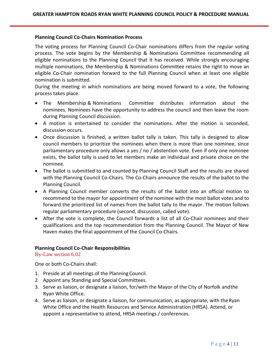#### **Planning Council Co-Chairs Nomination Process**

The voting process for Planning Council Co-Chair nominations differs from the regular voting process. The vote begins by the Membership & Nominations Committee recommending all eligible nominations to the Planning Council that it has received. While strongly encouraging multiple nominations, the Membership & Nominations Committee retains the right to move an eligible Co-Chair nomination forward to the full Planning Council when at least one eligible nomination is submitted.

During the meeting in which nominations are being moved forward to a vote, the following process takes place.

- The Membership & Nominations Committee distributes information about the nominees. Nominees have the opportunity to address the council and then leave the room during Planning Council discussion.
- A motion is entertained to consider the nominations. After the motion is seconded, discussion occurs.
- Once discussion is finished, a written ballot tally is taken. This tally is designed to allow council members to prioritize the nominees when there is more than one nominee, since parliamentary procedure only allows a yes / no / abstention vote. Even if only one nominee exists, the ballot tally is used to let members make an individual and private choice on the nominee.
- The ballot is submitted to and counted by Planning Council Staff and the results are shared with the Planning Council Co-Chairs. The Co-Chairs announce the results of the ballot to the Planning Council.
- A Planning Council member converts the results of the ballot into an official motion to recommend to the mayor for appointment of the nominee with the most ballot votes and to forward the prioritized list of names from the ballot tally to the mayor. The motion follows regular parliamentary procedure (second, discussion, called vote).
- After the vote is complete, the Council forwards a list of all Co-Chair nominees and their qualifications and the top recommendation from the Planning Council. The Mayor of New Haven makes the final appointment of the Council Co-Chairs.

#### **Planning Council Co-Chair Responsibilities**

By-Law section 6.02

One or both Co-Chairs shall:

- 1. Preside at all meetings of the Planning Council.
- 2. Appoint any Standing and Special Committees.
- 3. Serve as liaison, or designate a liaison, for/with the Mayor of the City of Norfolk andthe Ryan White Office.
- 4. Serve as liaison, or designate a liaison, for communication, as appropriate, with theRyan White Office and the Health Resources and Service Administration (HRSA). Attend, or appoint a representative to attend, HRSA meetings / conferences.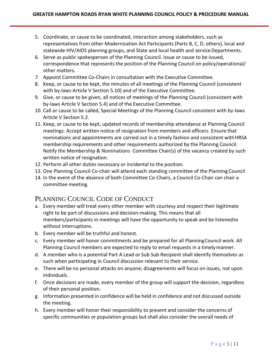- 5. Coordinate, or cause to be coordinated, interaction among stakeholders, such as representatives from other Modernization Act Participants (Parts B, C, D, others), local and statewide HIV/AIDS planning groups, and State and local health and service Departments.
- 6. Serve as public spokesperson of the Planning Council. Issue or cause to be issued, correspondence that represents the position of the Planning Council on policy/operational/ other matters.
- *7.* Appoint Committee Co-Chairs in consultation with the Executive Committee*.*
- 8. Keep, or cause to be kept, the minutes of all meetings of the Planning Council (consistent with by-laws Article V Section 5.10) and of the Executive Committee.
- 9. Give, or cause to be given, all notices of meetings of the Planning Council (consistent with by-laws Article V Section 5.4) and of the Executive Committee.
- 10. Call or cause to be called, Special Meetings of the Planning Council consistent with by-laws Article V Section 5.2.
- 11. Keep, or cause to be kept, updated records of membership attendance at Planning Council meetings. Accept written notice of resignation from members and officers. Ensure that nominations and appointments are carried out in a timely fashion and consistent withHRSA membership requirements and other requirements authorized by the Planning Council. Notify the Membership & Nominations Committee Chair(s) of the vacancy created by such written notice of resignation.
- 12. Perform all other duties necessary or incidental to the position.
- 13. One Planning Council Co-chair will attend each standing committee of the Planning Council
- 14. In the event of the absence of both Committee Co-Chairs, a Council Co-Chair can chair a committee meeting.

## PLANNING COUNCIL CODE OF CONDUCT

- a. Every member will treat every other member with courtesy and respect their legitimate right to be part of discussions and decision-making. This means that all members/participants in meetings will have the opportunity to speak and be listenedto without interruptions.
- b. Every member will be truthful and honest.
- c. Every member will honor commitments and be prepared for all PlanningCouncil work. All Planning Council members are expected to reply to email requests in a timelymanner.
- d. A member who is a potential Part A Lead or Sub Sub Recipient shall identify themselves as such when participating in Council discussion relevant to their service.
- e. There will be no personal attacks on anyone; disagreements will focus on issues, not upon individuals.
- f. Once decisions are made, every member of the group will support the decision, regardless of their personal position.
- g. Information presented in confidence will be held in confidence and not discussed outside the meeting.
- h. Every member will honor their responsibility to present and consider the concerns of specific communities or population groups but shall also consider the overall needs of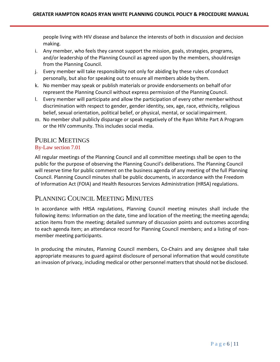people living with HIV disease and balance the interests of both in discussion and decision making.

- i. Any member, who feels they cannot support the mission, goals, strategies, programs, and/or leadership of the Planning Council as agreed upon by the members, shouldresign from the Planning Council.
- j. Every member will take responsibility not only for abiding by these rules of conduct personally, but also for speaking out to ensure all members abide by them.
- k. No member may speak or publish materials or provide endorsements on behalf ofor represent the Planning Council without express permission of the PlanningCouncil.
- l. Every member will participate and allow the participation of every other memberwithout discrimination with respect to gender, gender identity, sex, age, race, ethnicity, religious belief, sexual orientation, political belief, or physical, mental, or social impairment.
- m. No member shall publicly disparage or speak negatively of the Ryan White Part A Program or the HIV community. This includes social media.

## PUBLIC MEETINGS

### By-Law section 7.01

All regular meetings of the Planning Council and all committee meetings shall be open to the public for the purpose of observing the Planning Council's deliberations. The Planning Council will reserve time for public comment on the business agenda of any meeting of the full Planning Council. Planning Council minutes shall be public documents, in accordance with the Freedom of Information Act (FOIA) and Health Resources Services Administration (HRSA) regulations.

## PLANNING COUNCIL MEETING MINUTES

In accordance with HRSA regulations, Planning Council meeting minutes shall include the following items: Information on the date, time and location of the meeting; the meeting agenda; action items from the meeting; detailed summary of discussion points and outcomes according to each agenda item; an attendance record for Planning Council members; and a listing of nonmember meeting participants.

In producing the minutes, Planning Council members, Co-Chairs and any designee shall take appropriate measures to guard against disclosure of personal information that would constitute an invasion of privacy, including medical or other personnel mattersthatshould not be disclosed.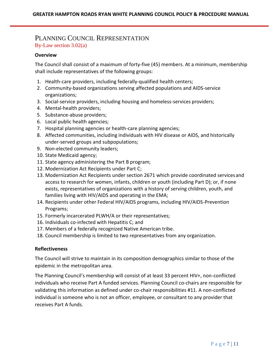## PLANNING COUNCIL REPRESENTATION By-Law section 3.02(a)

#### **Overview**

The Council shall consist of a maximum of forty-five (45) members. At a minimum, membership shall include representatives of the following groups:

- 1. Health-care providers, including federally-qualified health centers;
- 2. Community-based organizations serving affected populations and AIDS-service organizations;
- 3. Social-service providers, including housing and homeless-services providers;
- 4. Mental-health providers;
- 5. Substance-abuse providers;
- 6. Local public health agencies;
- 7. Hospital planning agencies or health-care planning agencies;
- 8. Affected communities, including individuals with HIV disease or AIDS, and historically under-served groups and subpopulations;
- 9. Non-elected community leaders;
- 10. State Medicaid agency;
- 11. State agency administering the Part B program;
- 12. Modernization Act Recipients under Part C;
- 13. Modernization Act Recipients under section 2671 which provide coordinated servicesand access to research for women, infants, children or youth (including Part D); or, if none exists, representatives of organizations with a history of serving children, youth, and families living with HIV/AIDS and operating in the EMA;
- 14. Recipients under other Federal HIV/AIDS programs, including HIV/AIDS-Prevention Programs;
- 15. Formerly incarcerated PLWH/A or their representatives;
- 16. Individuals co-infected with Hepatitis C; and
- 17. Members of a federally recognized Native American tribe.
- 18. Council membership is limited to two representatives from any organization.

#### **Reflectiveness**

The Council will strive to maintain in its composition demographics similar to those of the epidemic in the metropolitan area.

The Planning Council's membership will consist of at least 33 percent HIV+, non-conflicted individuals who receive Part A funded services. Planning Council co-chairs are responsible for validating this information as defined under co-chair responsibilities #11. A non-conflicted individual is someone who is not an officer, employee, or consultant to any provider that receives Part A funds.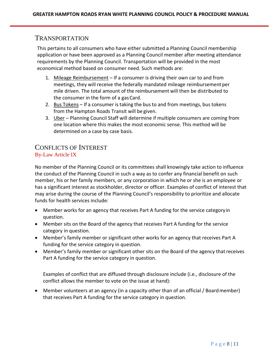## TRANSPORTATION

This pertains to all consumers who have either submitted a Planning Council membership application or have been approved as a Planning Council member after meeting attendance requirements by the Planning Council. Transportation will be provided in the most economical method based on consumer need. Such methods are:

- 1. Mileage Reimbursement If a consumer is driving their own car to and from meetings, they will receive the federally mandated mileage reimbursement per mile driven. The total amount of the reimbursement will then be distributed to the consumer in the form of a gas Card.
- 2. Bus Tokens If a consumer istaking the bus to and from meetings, bus tokens from the Hampton Roads Transit will be given.
- 3. Uber Planning Council Staff will determine if multiple consumers are coming from one location where this makes the most economic sense. This method will be determined on a case by case basis.

## CONFLICTS OF INTEREST By-Law Article IX

No member of the Planning Council or its committees shall knowingly take action to influence the conduct of the Planning Council in such a way as to confer any financial benefit on such member, his or her family members, or any corporation in which he or she is an employee or has a significant interest as stockholder, director or officer. Examples of conflict of interest that may arise during the course of the Planning Council's responsibility to prioritize and allocate funds for health services include:

- Member works for an agency that receives Part A funding for the service categoryin question.
- Member sits on the Board of the agency that receives Part A funding for the service category in question.
- Member's family member or significant other works for an agency that receives Part A funding for the service category in question.
- Member's family member or significant other sits on the Board of the agency that receives Part A funding for the service category in question.

Examples of conflict that are diffused through disclosure include (i.e., disclosure of the conflict allows the member to vote on the issue at hand):

• Member volunteers at an agency (in a capacity other than of an official / Board member) that receives Part A funding for the service category in question.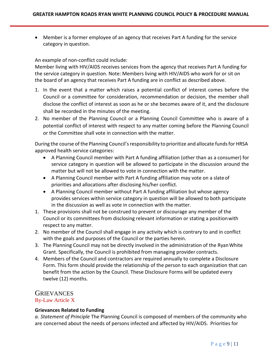• Member is a former employee of an agency that receives Part A funding for the service category in question.

An example of non-conflict could include:

Member living with HIV/AIDS receives services from the agency that receives Part A funding for the service category in question. Note: Members living with HIV/AIDS who work for or sit on the board of an agency that receives Part A funding are in conflict as described above.

- 1. In the event that a matter which raises a potential conflict of interest comes before the Council or a committee for consideration, recommendation or decision, the member shall disclose the conflict of interest as soon as he or she becomes aware of it, and the disclosure shall be recorded in the minutes of the meeting.
- 2. No member of the Planning Council or a Planning Council Committee who is aware of a potential conflict of interest with respect to any matter coming before the Planning Council or the Committee shall vote in connection with the matter.

During the course of the Planning Council's responsibility to prioritize and allocate funds for HRSA approved health service categories:

- A Planning Council member with Part A funding affiliation (other than as a consumer) for service category in question will be allowed to participate in the discussion around the matter but will not be allowed to vote in connection with the matter.
- A Planning Council member with Part A funding affiliation may vote on a slateof priorities and allocations after disclosing his/her conflict.
- A Planning Council member without Part A funding affiliation but whose agency provides services within service category in question will be allowed to both participate in the discussion as well as vote in connection with the matter.
- 1. These provisions shall not be construed to prevent or discourage any member of the Council or its committees from disclosing relevant information or stating a positionwith respect to any matter.
- 2. No member of the Council shall engage in any activity which is contrary to and in conflict with the goals and purposes of the Council or the parties herein.
- 3. The Planning Council may not be directly involved in the administration of the RyanWhite Grant. Specifically, the Council is prohibited from managing provider contracts.
- 4. Members of the Council and contractors are required annually to complete a Disclosure Form. This form should provide the relationship of the person to each organization that can benefit from the action by the Council. These Disclosure Forms will be updated every twelve (12) months.

## **GRIEVANCES**

By-Law Article X

#### **Grievances Related to Funding**

*a. Statement of Principle* The Planning Council is composed of members of the community who are concerned about the needs of persons infected and affected by HIV/AIDS. Priorities for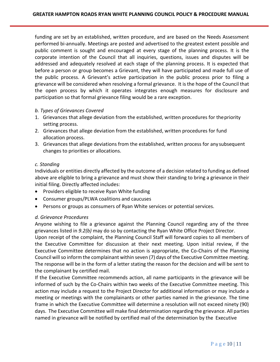funding are set by an established, written procedure, and are based on the Needs Assessment performed bi-annually. Meetings are posted and advertised to the greatest extent possible and public comment is sought and encouraged at every stage of the planning process. It is the corporate intention of the Council that all inquiries, questions, issues and disputes will be addressed and adequately resolved at each stage of the planning process. It is expected that before a person or group becomes a Grievant, they will have participated and made full use of the public process. A Grievant's active participation in the public process prior to filing a grievance will be considered when resolving a formal grievance. It isthe hope of the Council that the open process by which it operates integrates enough measures for disclosure and participation so that formal grievance filing would be a rare exception.

#### *b. Types of Grievances Covered*

- 1. Grievances that allege deviation from the established, written procedures for thepriority setting process.
- 2. Grievances that allege deviation from the established, written procedures for fund allocation process.
- 3. Grievances that allege deviations from the established, written process for any subsequent changes to priorities or allocations.

#### *c. Standing*

Individuals or entities directly affected by the outcome of a decision related to funding as defined above are eligible to bring a grievance and must show their standing to bring a grievance in their initial filing. Directly affected includes:

- Providers eligible to receive Ryan White funding
- Consumer groups/PLWA coalitions and caucuses
- Persons or groups as consumers of Ryan White services or potential services.

#### *d. Grievance Procedures*

Anyone wishing to file a grievance against the Planning Council regarding any of the three grievances listed in *9.2(b)* may do so by contacting the Ryan White Office Project Director.

Upon receipt of the complaint, the Planning Council Staff will forward copies to all members of the Executive Committee for discussion at their next meeting. Upon initial review, if the Executive Committee determines that no action is appropriate, the Co-Chairs of the Planning Council willso inform the complainant within seven (7) days of the Executive Committee meeting. The response will be in the form of a letter stating the reason for the decision and will be sent to the complainant by certified mail.

If the Executive Committee recommends action, all name participants in the grievance will be informed of such by the Co-Chairs within two weeks of the Executive Committee meeting. This action may include a request to the Project Director for additional information or may include a meeting or meetings with the complainants or other parties named in the grievance. The time frame in which the Executive Committee will determine a resolution will not exceed ninety (90) days. The Executive Committee will make final determination regarding the grievance. All parties named in grievance will be notified by certified mail of the determination by the Executive